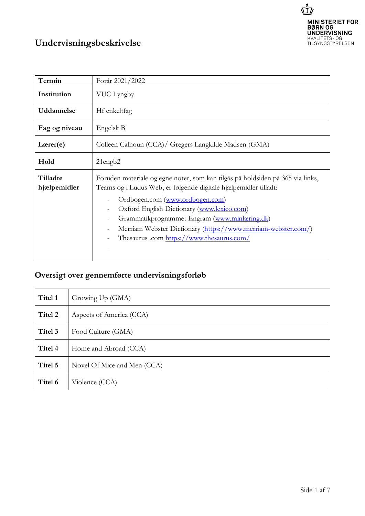

## **Undervisningsbeskrivelse**

| Termin                   | Forår 2021/2022                                                                                                                                                                                                                                                                                                                                                                                    |  |
|--------------------------|----------------------------------------------------------------------------------------------------------------------------------------------------------------------------------------------------------------------------------------------------------------------------------------------------------------------------------------------------------------------------------------------------|--|
| Institution              | VUC Lyngby                                                                                                                                                                                                                                                                                                                                                                                         |  |
| Uddannelse               | Hf enkeltfag                                                                                                                                                                                                                                                                                                                                                                                       |  |
| Fag og niveau            | Engelsk B                                                                                                                                                                                                                                                                                                                                                                                          |  |
| $L \text{arer}(e)$       | Colleen Calhoun (CCA)/ Gregers Langkilde Madsen (GMA)                                                                                                                                                                                                                                                                                                                                              |  |
| Hold                     | $21$ engb $2$                                                                                                                                                                                                                                                                                                                                                                                      |  |
| Tilladte<br>hjælpemidler | Foruden materiale og egne noter, som kan tilgås på holdsiden på 365 via links,<br>Teams og i Ludus Web, er følgende digitale hjælpemidler tilladt:<br>Ordbogen.com (www.ordbogen.com)<br>Oxford English Dictionary (www.lexico.com)<br>Grammatikprogrammet Engram (www.minlæring.dk)<br>Merriam Webster Dictionary (https://www.merriam-webster.com/)<br>Thesaurus .com https://www.thesaurus.com/ |  |

## **Oversigt over gennemførte undervisningsforløb**

| Titel 1 | Growing Up (GMA)            |
|---------|-----------------------------|
| Titel 2 | Aspects of America (CCA)    |
| Titel 3 | Food Culture (GMA)          |
| Titel 4 | Home and Abroad (CCA)       |
| Titel 5 | Novel Of Mice and Men (CCA) |
| Titel 6 | Violence (CCA)              |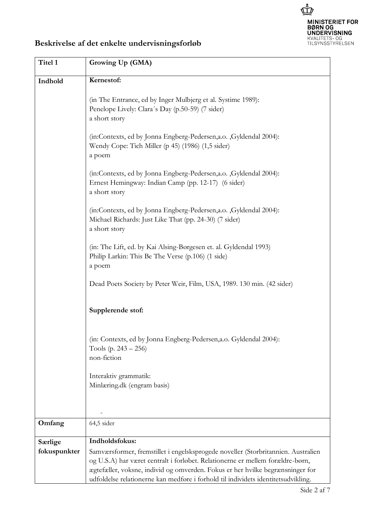

## **Beskrivelse af det enkelte undervisningsforløb**

| Titel 1                 | Growing Up (GMA)                                                                                                                                                                                                                                                        |  |  |
|-------------------------|-------------------------------------------------------------------------------------------------------------------------------------------------------------------------------------------------------------------------------------------------------------------------|--|--|
| Indhold                 | Kernestof:                                                                                                                                                                                                                                                              |  |  |
|                         | (in The Entrance, ed by Inger Mulbjerg et al. Systime 1989):<br>Penelope Lively: Clara's Day (p.50-59) (7 sider)<br>a short story                                                                                                                                       |  |  |
|                         | (in:Contexts, ed by Jonna Engberg-Pedersen, a.o., Gyldendal 2004):<br>Wendy Cope: Tich Miller (p 45) (1986) (1,5 sider)<br>a poem                                                                                                                                       |  |  |
|                         | (in:Contexts, ed by Jonna Engberg-Pedersen, a.o., Gyldendal 2004):<br>Ernest Hemingway: Indian Camp (pp. 12-17) (6 sider)<br>a short story                                                                                                                              |  |  |
|                         | (in:Contexts, ed by Jonna Engberg-Pedersen, a.o., Gyldendal 2004):<br>Michael Richards: Just Like That (pp. 24-30) (7 sider)<br>a short story                                                                                                                           |  |  |
|                         | (in: The Lift, ed. by Kai Alsing-Børgesen et. al. Gyldendal 1993)<br>Philip Larkin: This Be The Verse (p.106) (1 side)<br>a poem                                                                                                                                        |  |  |
|                         | Dead Poets Society by Peter Weir, Film, USA, 1989. 130 min. (42 sider)                                                                                                                                                                                                  |  |  |
|                         | Supplerende stof:                                                                                                                                                                                                                                                       |  |  |
|                         | (in: Contexts, ed by Jonna Engberg-Pedersen, a.o. Gyldendal 2004):<br>Tools (p. $243 - 256$ )<br>non-fiction                                                                                                                                                            |  |  |
|                         | Interaktiv grammatik:<br>Minlæring.dk (engram basis)                                                                                                                                                                                                                    |  |  |
| Omfang                  | 64,5 sider                                                                                                                                                                                                                                                              |  |  |
| Særlige<br>fokuspunkter | Indholdsfokus:<br>Samværsformer, fremstillet i engelsksprogede noveller (Storbritannien. Australien<br>og U.S.A) har været centralt i forløbet. Relationerne er mellem forældre-børn,<br>ægtefæller, voksne, individ og omverden. Fokus er her hvilke begrænsninger for |  |  |
|                         | udfoldelse relationerne kan medføre i forhold til individets identitetsudvikling.                                                                                                                                                                                       |  |  |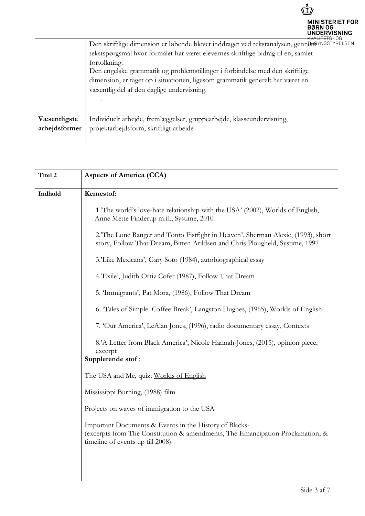

|               | <del>-кvанны</del> ы Об                                                                     |  |
|---------------|---------------------------------------------------------------------------------------------|--|
|               | Den skriftlige dimension er løbende blevet inddraget ved tekstanalysen, gennethavnsstrelsen |  |
|               | tekstspørgsmål hvor formålet har været elevernes skriftlige bidrag til en, samlet           |  |
|               | fortolkning.                                                                                |  |
|               | Den engelske grammatik og problemstillinger i forbindelse med den skriftlige                |  |
|               | dimension, er taget op i situationen, ligesom grammatik generelt har været en               |  |
|               | væsentlig del af den daglige undervisning.                                                  |  |
|               |                                                                                             |  |
|               |                                                                                             |  |
| Væsentligste  | Individuelt arbejde, fremlæggelser, gruppearbejde, klasseundervisning,                      |  |
| arbejdsformer | projektarbejdsform, skriftligt arbejde                                                      |  |
|               |                                                                                             |  |

| Titel 2 | <b>Aspects of America (CCA)</b>                                                                                                                                              |
|---------|------------------------------------------------------------------------------------------------------------------------------------------------------------------------------|
| Indhold | Kernestof:                                                                                                                                                                   |
|         | 1.'The world's love-hate relationship with the USA' (2002), Worlds of English,<br>Anne Mette Finderup m.fl., Systime, 2010                                                   |
|         | 2. The Lone Ranger and Tonto Fistfight in Heaven', Sherman Alexie, (1993), short<br>story, Follow That Dream, Bitten Arildsen and Chris Plougheld, Systime, 1997             |
|         | 3.'Like Mexicans', Gary Soto (1984), autobiographical essay                                                                                                                  |
|         | 4.'Exile', Judith Ortiz Cofer (1987), Follow That Dream                                                                                                                      |
|         | 5. 'Immigrants', Pat Mora, (1986), Follow That Dream                                                                                                                         |
|         | 6. Tales of Simple: Coffee Break', Langston Hughes, (1965), Worlds of English                                                                                                |
|         | 7. 'Our America', LeAlan Jones, (1996), radio documentary essay, Contexts                                                                                                    |
|         | 8.'A Letter from Black America', Nicole Hannah-Jones, (2015), opinion piece,<br>excerpt<br>Supplerende stof:                                                                 |
|         | The USA and Me, quiz; Worlds of English                                                                                                                                      |
|         | Mississippi Burning, (1988) film                                                                                                                                             |
|         | Projects on waves of immigration to the USA                                                                                                                                  |
|         | Important Documents & Events in the History of Blacks-<br>(excerpts from The Constitution & amendments, The Emancipation Proclamation, &<br>timeline of events up till 2008) |
|         |                                                                                                                                                                              |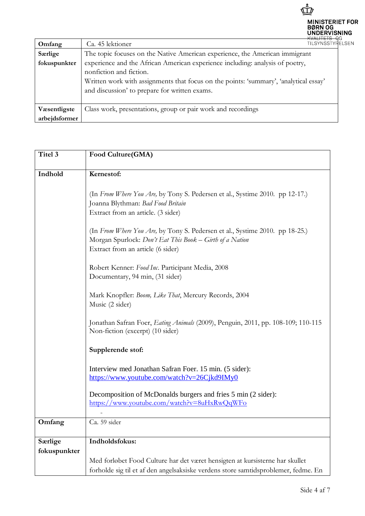

| Omfang        | <b>TILSYNSSTYRE</b><br>Ca. 45 lektioner                                                                                                                                                                                                            |
|---------------|----------------------------------------------------------------------------------------------------------------------------------------------------------------------------------------------------------------------------------------------------|
| Særlige       | The topic focuses on the Native American experience, the American immigrant                                                                                                                                                                        |
| fokuspunkter  | experience and the African American experience including: analysis of poetry,<br>nonfiction and fiction.<br>Written work with assignments that focus on the points: 'summary', 'analytical essay'<br>and discussion' to prepare for written exams. |
| Væsentligste  | Class work, presentations, group or pair work and recordings                                                                                                                                                                                       |
| arbejdsformer |                                                                                                                                                                                                                                                    |

| Titel 3      | Food Culture(GMA)                                                                       |  |  |
|--------------|-----------------------------------------------------------------------------------------|--|--|
|              |                                                                                         |  |  |
| Indhold      | Kernestof:                                                                              |  |  |
|              |                                                                                         |  |  |
|              | (In From Where You Are, by Tony S. Pedersen et al., Systime 2010. pp 12-17.)            |  |  |
|              | Joanna Blythman: Bad Food Britain                                                       |  |  |
|              | Extract from an article. (3 sider)                                                      |  |  |
|              | (In From Where You Are, by Tony S. Pedersen et al., Systime 2010. pp 18-25.)            |  |  |
|              | Morgan Spurlock: Don't Eat This Book - Girth of a Nation                                |  |  |
|              | Extract from an article (6 sider)                                                       |  |  |
|              |                                                                                         |  |  |
|              | Robert Kenner: Food Inc. Participant Media, 2008                                        |  |  |
|              | Documentary, 94 min, (31 sider)                                                         |  |  |
|              | Mark Knopfler: Boom, Like That, Mercury Records, 2004                                   |  |  |
|              | Music (2 sider)                                                                         |  |  |
|              |                                                                                         |  |  |
|              | Jonathan Safran Foer, <i>Eating Animals</i> (2009), Penguin, 2011, pp. 108-109; 110-115 |  |  |
|              | Non-fiction (excerpt) (10 sider)                                                        |  |  |
|              | Supplerende stof:                                                                       |  |  |
|              |                                                                                         |  |  |
|              | Interview med Jonathan Safran Foer. 15 min. (5 sider):                                  |  |  |
|              | https://www.youtube.com/watch?v=26Cjkd9IMy0                                             |  |  |
|              | Decomposition of McDonalds burgers and fries 5 min (2 sider):                           |  |  |
|              | https://www.youtube.com/watch?v=8uHxRwQqWFo                                             |  |  |
|              |                                                                                         |  |  |
| Omfang       | Ca. 59 sider                                                                            |  |  |
|              |                                                                                         |  |  |
| Særlige      | Indholdsfokus:                                                                          |  |  |
| fokuspunkter |                                                                                         |  |  |
|              | Med forløbet Food Culture har det været hensigten at kursisterne har skullet            |  |  |
|              | forholde sig til et af den angelsaksiske verdens store samtidsproblemer, fedme. En      |  |  |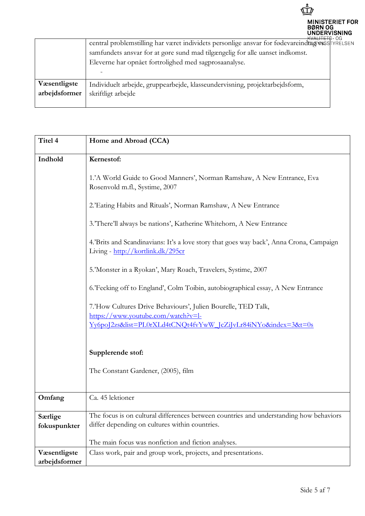

|               | <del>- kvalifi ti</del> ð - Uu<br>central problemstilling har været individets personlige ansvar for fødevareindtug wiss TYRELSEN |  |
|---------------|-----------------------------------------------------------------------------------------------------------------------------------|--|
|               | samfundets ansvar for at gøre sund mad tilgængelig for alle uanset indkomst.                                                      |  |
|               | Eleverne har opnået fortrolighed med sagprosaanalyse.                                                                             |  |
|               |                                                                                                                                   |  |
| Væsentligste  | Individuelt arbejde, gruppearbejde, klasseundervisning, projektarbejdsform,                                                       |  |
| arbejdsformer | skriftligt arbejde                                                                                                                |  |
|               |                                                                                                                                   |  |

| Titel 4                        | Home and Abroad (CCA)                                                                                                                    |
|--------------------------------|------------------------------------------------------------------------------------------------------------------------------------------|
| Indhold                        | Kernestof:                                                                                                                               |
|                                | 1.'A World Guide to Good Manners', Norman Ramshaw, A New Entrance, Eva<br>Rosenvold m.fl., Systime, 2007                                 |
|                                | 2.'Eating Habits and Rituals', Norman Ramshaw, A New Entrance                                                                            |
|                                | 3.'There'll always be nations', Katherine Whitehorn, A New Entrance                                                                      |
|                                | 4.'Brits and Scandinavians: It's a love story that goes way back', Anna Crona, Campaign<br>Living - http://kortlink.dk/295cr             |
|                                | 5.'Monster in a Ryokan', Mary Roach, Travelers, Systime, 2007                                                                            |
|                                | 6.'Fecking off to England', Colm Toibin, autobiographical essay, A New Entrance                                                          |
|                                | 7.'How Cultures Drive Behaviours', Julien Bourelle, TED Talk,<br>https://www.youtube.com/watch?v=l-                                      |
|                                | Yv6poJ2zs&list=PL0rXLd4tCNQt4fvYwW_JcZiJvLr84iNYo&index=3&t=0s                                                                           |
|                                | Supplerende stof:                                                                                                                        |
|                                | The Constant Gardener, (2005), film                                                                                                      |
| Omfang                         | Ca. 45 lektioner                                                                                                                         |
| <b>Særlige</b><br>fokuspunkter | The focus is on cultural differences between countries and understanding how behaviors<br>differ depending on cultures within countries. |
|                                | The main focus was nonfiction and fiction analyses.                                                                                      |
| Væsentligste<br>arbejdsformer  | Class work, pair and group work, projects, and presentations.                                                                            |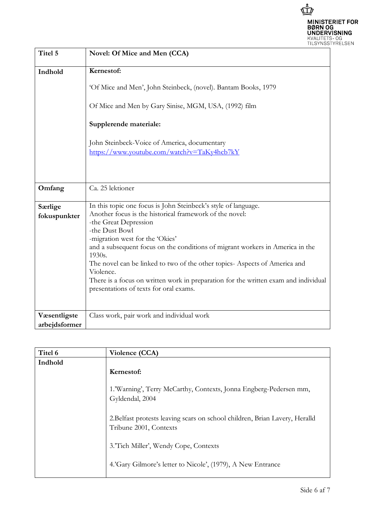

| Titel 5                       | Novel: Of Mice and Men (CCA)                                                                                                                                                                                                                                                                                                                                                                                                                                                                                                  |
|-------------------------------|-------------------------------------------------------------------------------------------------------------------------------------------------------------------------------------------------------------------------------------------------------------------------------------------------------------------------------------------------------------------------------------------------------------------------------------------------------------------------------------------------------------------------------|
| Indhold                       | Kernestof:<br>'Of Mice and Men', John Steinbeck, (novel). Bantam Books, 1979<br>Of Mice and Men by Gary Sinise, MGM, USA, (1992) film                                                                                                                                                                                                                                                                                                                                                                                         |
|                               | Supplerende materiale:<br>John Steinbeck-Voice of America, documentary<br>https://www.youtube.com/watch?v=TaKy4hcb7kY                                                                                                                                                                                                                                                                                                                                                                                                         |
| Omfang                        | Ca. 25 lektioner                                                                                                                                                                                                                                                                                                                                                                                                                                                                                                              |
| Særlige<br>fokuspunkter       | In this topic one focus is John Steinbeck's style of language.<br>Another focus is the historical framework of the novel:<br>-the Great Depression<br>-the Dust Bowl<br>-migration west for the 'Okies'<br>and a subsequent focus on the conditions of migrant workers in America in the<br>1930s.<br>The novel can be linked to two of the other topics-Aspects of America and<br>Violence.<br>There is a focus on written work in preparation for the written exam and individual<br>presentations of texts for oral exams. |
| Væsentligste<br>arbejdsformer | Class work, pair work and individual work                                                                                                                                                                                                                                                                                                                                                                                                                                                                                     |
|                               |                                                                                                                                                                                                                                                                                                                                                                                                                                                                                                                               |

| Titel 6 | Violence (CCA)                                                                                        |
|---------|-------------------------------------------------------------------------------------------------------|
| Indhold |                                                                                                       |
|         | Kernestof:                                                                                            |
|         | 1.'Warning', Terry McCarthy, Contexts, Jonna Engberg-Pedersen mm,<br>Gyldendal, 2004                  |
|         | 2. Belfast protests leaving scars on school children, Brian Lavery, Heralld<br>Tribune 2001, Contexts |
|         | 3.'Tich Miller', Wendy Cope, Contexts                                                                 |
|         | 4.'Gary Gilmore's letter to Nicole', (1979), A New Entrance                                           |